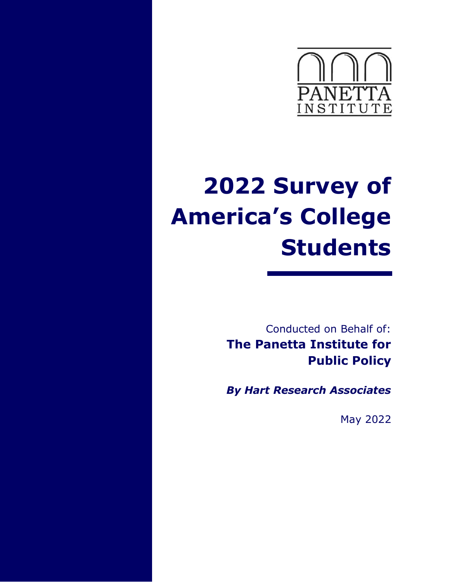

# **2022 Survey of America's College Students**

Conducted on Behalf of: **The Panetta Institute for Public Policy**

*By Hart Research Associates* 

May 2022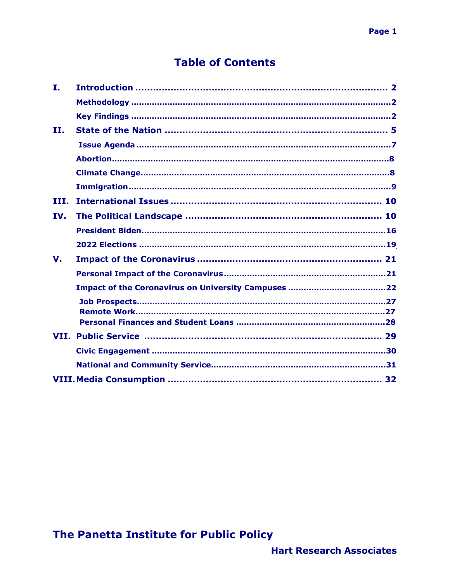## **Table of Contents**

| Ι.          |  |
|-------------|--|
|             |  |
|             |  |
| II.         |  |
|             |  |
|             |  |
|             |  |
|             |  |
| III.        |  |
| IV.         |  |
|             |  |
|             |  |
| $V_{\cdot}$ |  |
|             |  |
|             |  |
|             |  |
|             |  |
|             |  |
|             |  |
|             |  |
|             |  |
|             |  |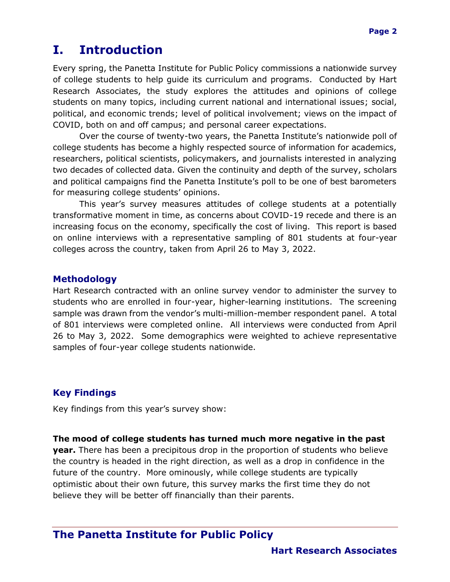## **I. Introduction**

Every spring, the Panetta Institute for Public Policy commissions a nationwide survey of college students to help guide its curriculum and programs. Conducted by Hart Research Associates, the study explores the attitudes and opinions of college students on many topics, including current national and international issues; social, political, and economic trends; level of political involvement; views on the impact of COVID, both on and off campus; and personal career expectations.

Over the course of twenty-two years, the Panetta Institute's nationwide poll of college students has become a highly respected source of information for academics, researchers, political scientists, policymakers, and journalists interested in analyzing two decades of collected data. Given the continuity and depth of the survey, scholars and political campaigns find the Panetta Institute's poll to be one of best barometers for measuring college students' opinions.

This year's survey measures attitudes of college students at a potentially transformative moment in time, as concerns about COVID-19 recede and there is an increasing focus on the economy, specifically the cost of living. This report is based on online interviews with a representative sampling of 801 students at four-year colleges across the country, taken from April 26 to May 3, 2022.

#### <span id="page-2-0"></span>**Methodology**

Hart Research contracted with an online survey vendor to administer the survey to students who are enrolled in four-year, higher-learning institutions. The screening sample was drawn from the vendor's multi-million-member respondent panel. A total of 801 interviews were completed online. All interviews were conducted from April 26 to May 3, 2022. Some demographics were weighted to achieve representative samples of four-year college students nationwide.

#### <span id="page-2-1"></span>**Key Findings**

Key findings from this year's survey show:

#### **The mood of college students has turned much more negative in the past**

**year.** There has been a precipitous drop in the proportion of students who believe the country is headed in the right direction, as well as a drop in confidence in the future of the country. More ominously, while college students are typically optimistic about their own future, this survey marks the first time they do not believe they will be better off financially than their parents.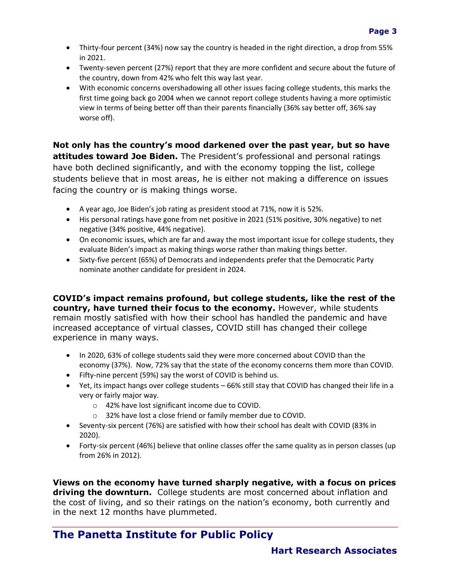- Thirty-four percent (34%) now say the country is headed in the right direction, a drop from 55% in 2021.
- Twenty-seven percent (27%) report that they are more confident and secure about the future of the country, down from 42% who felt this way last year.
- With economic concerns overshadowing all other issues facing college students, this marks the first time going back go 2004 when we cannot report college students having a more optimistic view in terms of being better off than their parents financially (36% say better off, 36% say worse off).

**Not only has the country's mood darkened over the past year, but so have attitudes toward Joe Biden.** The President's professional and personal ratings have both declined significantly, and with the economy topping the list, college students believe that in most areas, he is either not making a difference on issues facing the country or is making things worse.

- A year ago, Joe Biden's job rating as president stood at 71%, now it is 52%.
- His personal ratings have gone from net positive in 2021 (51% positive, 30% negative) to net negative (34% positive, 44% negative).
- On economic issues, which are far and away the most important issue for college students, they evaluate Biden's impact as making things worse rather than making things better.
- Sixty-five percent (65%) of Democrats and independents prefer that the Democratic Party nominate another candidate for president in 2024.

**COVID's impact remains profound, but college students, like the rest of the country, have turned their focus to the economy.** However, while students remain mostly satisfied with how their school has handled the pandemic and have increased acceptance of virtual classes, COVID still has changed their college experience in many ways.

- In 2020, 63% of college students said they were more concerned about COVID than the economy (37%). Now, 72% say that the state of the economy concerns them more than COVID.
- Fifty-nine percent (59%) say the worst of COVID is behind us.
- Yet, its impact hangs over college students 66% still stay that COVID has changed their life in a very or fairly major way.
	- o 42% have lost significant income due to COVID.
	- o 32% have lost a close friend or family member due to COVID.
- Seventy-six percent (76%) are satisfied with how their school has dealt with COVID (83% in 2020).
- Forty-six percent (46%) believe that online classes offer the same quality as in person classes (up from 26% in 2012).

**Views on the economy have turned sharply negative, with a focus on prices driving the downturn.** College students are most concerned about inflation and the cost of living, and so their ratings on the nation's economy, both currently and in the next 12 months have plummeted.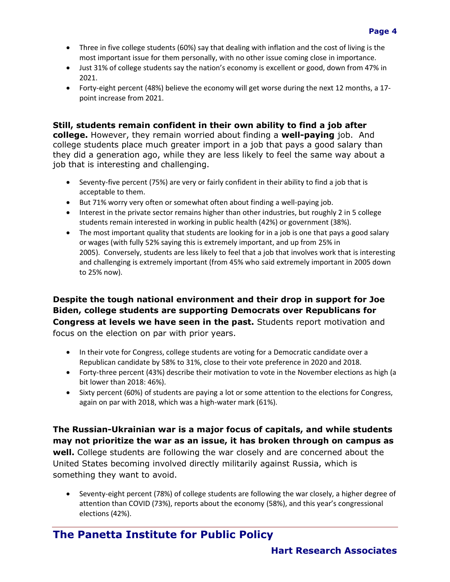- Three in five college students (60%) say that dealing with inflation and the cost of living is the most important issue for them personally, with no other issue coming close in importance.
- Just 31% of college students say the nation's economy is excellent or good, down from 47% in 2021.
- Forty-eight percent (48%) believe the economy will get worse during the next 12 months, a 17 point increase from 2021.

#### **Still, students remain confident in their own ability to find a job after**

**college.** However, they remain worried about finding a **well-paying** job. And college students place much greater import in a job that pays a good salary than they did a generation ago, while they are less likely to feel the same way about a job that is interesting and challenging.

- Seventy-five percent (75%) are very or fairly confident in their ability to find a job that is acceptable to them.
- But 71% worry very often or somewhat often about finding a well-paying job.
- Interest in the private sector remains higher than other industries, but roughly 2 in 5 college students remain interested in working in public health (42%) or government (38%).
- The most important quality that students are looking for in a job is one that pays a good salary or wages (with fully 52% saying this is extremely important, and up from 25% in 2005). Conversely, students are less likely to feel that a job that involves work that is interesting and challenging is extremely important (from 45% who said extremely important in 2005 down to 25% now).

#### **Despite the tough national environment and their drop in support for Joe Biden, college students are supporting Democrats over Republicans for Congress at levels we have seen in the past.** Students report motivation and focus on the election on par with prior years.

- In their vote for Congress, college students are voting for a Democratic candidate over a Republican candidate by 58% to 31%, close to their vote preference in 2020 and 2018.
- Forty-three percent (43%) describe their motivation to vote in the November elections as high (a bit lower than 2018: 46%).
- Sixty percent (60%) of students are paying a lot or some attention to the elections for Congress, again on par with 2018, which was a high-water mark (61%).

**The Russian-Ukrainian war is a major focus of capitals, and while students may not prioritize the war as an issue, it has broken through on campus as well.** College students are following the war closely and are concerned about the United States becoming involved directly militarily against Russia, which is something they want to avoid.

• Seventy-eight percent (78%) of college students are following the war closely, a higher degree of attention than COVID (73%), reports about the economy (58%), and this year's congressional elections (42%).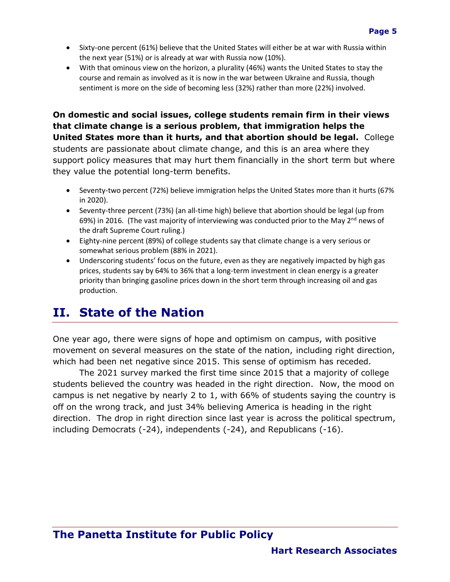- Sixty-one percent (61%) believe that the United States will either be at war with Russia within the next year (51%) or is already at war with Russia now (10%).
- With that ominous view on the horizon, a plurality (46%) wants the United States to stay the course and remain as involved as it is now in the war between Ukraine and Russia, though sentiment is more on the side of becoming less (32%) rather than more (22%) involved.

**On domestic and social issues, college students remain firm in their views that climate change is a serious problem, that immigration helps the United States more than it hurts, and that abortion should be legal.** College students are passionate about climate change, and this is an area where they support policy measures that may hurt them financially in the short term but where they value the potential long-term benefits.

- Seventy-two percent (72%) believe immigration helps the United States more than it hurts (67% in 2020).
- Seventy-three percent (73%) (an all-time high) believe that abortion should be legal (up from 69%) in 2016. (The vast majority of interviewing was conducted prior to the May  $2^{nd}$  news of the draft Supreme Court ruling.)
- Eighty-nine percent (89%) of college students say that climate change is a very serious or somewhat serious problem (88% in 2021).
- Underscoring students' focus on the future, even as they are negatively impacted by high gas prices, students say by 64% to 36% that a long-term investment in clean energy is a greater priority than bringing gasoline prices down in the short term through increasing oil and gas production.

# <span id="page-5-0"></span>**II. State of the Nation**

<span id="page-5-1"></span>One year ago, there were signs of hope and optimism on campus, with positive movement on several measures on the state of the nation, including right direction, which had been net negative since 2015. This sense of optimism has receded.

The 2021 survey marked the first time since 2015 that a majority of college students believed the country was headed in the right direction. Now, the mood on campus is net negative by nearly 2 to 1, with 66% of students saying the country is off on the wrong track, and just 34% believing America is heading in the right direction. The drop in right direction since last year is across the political spectrum, including Democrats (-24), independents (-24), and Republicans (-16).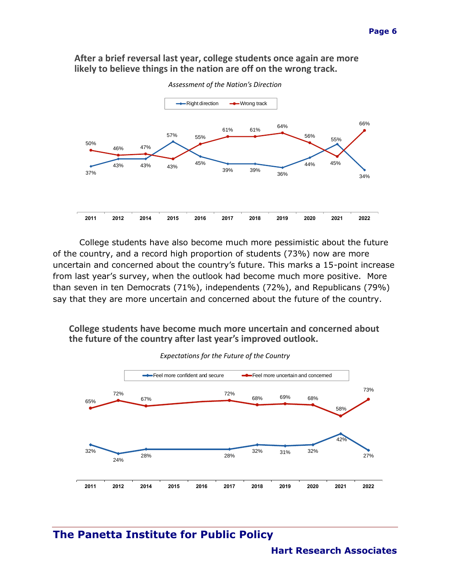#### **After a brief reversal last year, college students once again are more likely to believe things in the nation are off on the wrong track.**



College students have also become much more pessimistic about the future of the country, and a record high proportion of students (73%) now are more uncertain and concerned about the country's future. This marks a 15-point increase from last year's survey, when the outlook had become much more positive. More than seven in ten Democrats (71%), independents (72%), and Republicans (79%) say that they are more uncertain and concerned about the future of the country.

#### **College students have become much more uncertain and concerned about the future of the country after last year's improved outlook.**



*Expectations for the Future of the Country*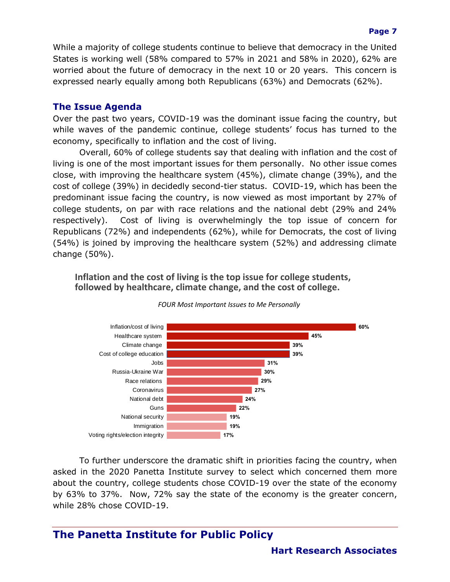While a majority of college students continue to believe that democracy in the United States is working well (58% compared to 57% in 2021 and 58% in 2020), 62% are worried about the future of democracy in the next 10 or 20 years. This concern is expressed nearly equally among both Republicans (63%) and Democrats (62%).

#### **The Issue Agenda**

Over the past two years, COVID-19 was the dominant issue facing the country, but while waves of the pandemic continue, college students' focus has turned to the economy, specifically to inflation and the cost of living.

Overall, 60% of college students say that dealing with inflation and the cost of living is one of the most important issues for them personally. No other issue comes close, with improving the healthcare system (45%), climate change (39%), and the cost of college (39%) in decidedly second-tier status. COVID-19, which has been the predominant issue facing the country, is now viewed as most important by 27% of college students, on par with race relations and the national debt (29% and 24% respectively). Cost of living is overwhelmingly the top issue of concern for Republicans (72%) and independents (62%), while for Democrats, the cost of living (54%) is joined by improving the healthcare system (52%) and addressing climate change (50%).

**Inflation and the cost of living is the top issue for college students, followed by healthcare, climate change, and the cost of college.**



*FOUR Most Important Issues to Me Personally*

To further underscore the dramatic shift in priorities facing the country, when asked in the 2020 Panetta Institute survey to select which concerned them more about the country, college students chose COVID-19 over the state of the economy by 63% to 37%. Now, 72% say the state of the economy is the greater concern, while 28% chose COVID-19.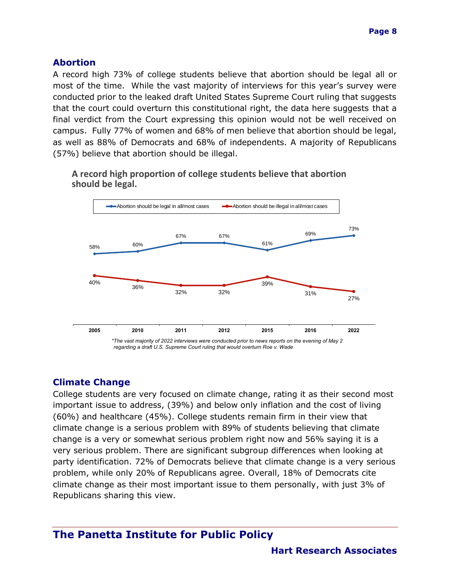#### **Abortion**

A record high 73% of college students believe that abortion should be legal all or most of the time. While the vast majority of interviews for this year's survey were conducted prior to the leaked draft United States Supreme Court ruling that suggests that the court could overturn this constitutional right, the data here suggests that a final verdict from the Court expressing this opinion would not be well received on campus. Fully 77% of women and 68% of men believe that abortion should be legal, as well as 88% of Democrats and 68% of independents. A majority of Republicans (57%) believe that abortion should be illegal.

**A record high proportion of college students believe that abortion should be legal.**



#### **Climate Change**

College students are very focused on climate change, rating it as their second most important issue to address, (39%) and below only inflation and the cost of living (60%) and healthcare (45%). College students remain firm in their view that climate change is a serious problem with 89% of students believing that climate change is a very or somewhat serious problem right now and 56% saying it is a very serious problem. There are significant subgroup differences when looking at party identification. 72% of Democrats believe that climate change is a very serious problem, while only 20% of Republicans agree. Overall, 18% of Democrats cite climate change as their most important issue to them personally, with just 3% of Republicans sharing this view.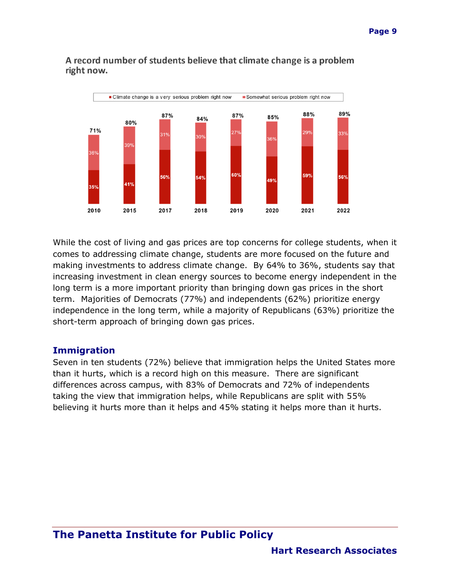

#### A record number of students believe that climate change is a problem right now.

While the cost of living and gas prices are top concerns for college students, when it comes to addressing climate change, students are more focused on the future and making investments to address climate change. By 64% to 36%, students say that increasing investment in clean energy sources to become energy independent in the long term is a more important priority than bringing down gas prices in the short term. Majorities of Democrats (77%) and independents (62%) prioritize energy independence in the long term, while a majority of Republicans (63%) prioritize the short-term approach of bringing down gas prices.

#### **Immigration**

Seven in ten students (72%) believe that immigration helps the United States more than it hurts, which is a record high on this measure. There are significant differences across campus, with 83% of Democrats and 72% of independents taking the view that immigration helps, while Republicans are split with 55% believing it hurts more than it helps and 45% stating it helps more than it hurts.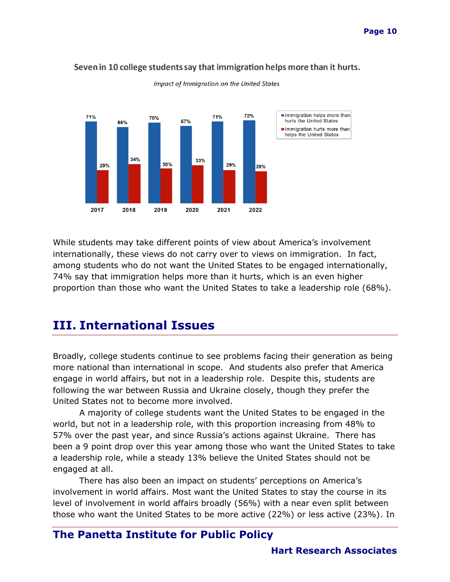

Seven in 10 college students say that immigration helps more than it hurts.

Impact of Immigration on the United States

While students may take different points of view about America's involvement internationally, these views do not carry over to views on immigration. In fact, among students who do not want the United States to be engaged internationally, 74% say that immigration helps more than it hurts, which is an even higher proportion than those who want the United States to take a leadership role (68%).

## <span id="page-10-0"></span>**III. International Issues**

Broadly, college students continue to see problems facing their generation as being more national than international in scope. And students also prefer that America engage in world affairs, but not in a leadership role. Despite this, students are following the war between Russia and Ukraine closely, though they prefer the United States not to become more involved.

A majority of college students want the United States to be engaged in the world, but not in a leadership role, with this proportion increasing from 48% to 57% over the past year, and since Russia's actions against Ukraine. There has been a 9 point drop over this year among those who want the United States to take a leadership role, while a steady 13% believe the United States should not be engaged at all.

There has also been an impact on students' perceptions on America's involvement in world affairs. Most want the United States to stay the course in its level of involvement in world affairs broadly (56%) with a near even split between those who want the United States to be more active (22%) or less active (23%). In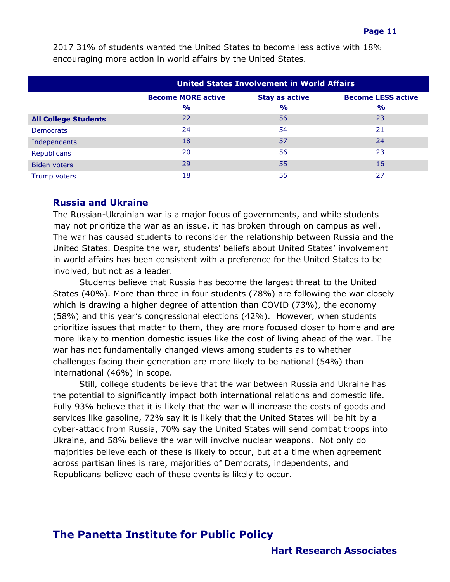|                             | <b>United States Involvement in World Affairs</b>                               |               |               |  |
|-----------------------------|---------------------------------------------------------------------------------|---------------|---------------|--|
|                             | <b>Become MORE active</b><br><b>Become LESS active</b><br><b>Stay as active</b> |               |               |  |
|                             | $\frac{O}{O}$                                                                   | $\frac{1}{2}$ | $\frac{1}{2}$ |  |
| <b>All College Students</b> | 22                                                                              | 56            | 23            |  |
| <b>Democrats</b>            | 24                                                                              | 54            | 21            |  |
| Independents                | 18                                                                              | 57            | 24            |  |
| <b>Republicans</b>          | 20                                                                              | 56            | 23            |  |
| Biden voters                | 29                                                                              | 55            | 16            |  |
| Trump voters                | 18                                                                              | 55            | 27            |  |

2017 31% of students wanted the United States to become less active with 18% encouraging more action in world affairs by the United States.

#### **Russia and Ukraine**

The Russian-Ukrainian war is a major focus of governments, and while students may not prioritize the war as an issue, it has broken through on campus as well. The war has caused students to reconsider the relationship between Russia and the United States. Despite the war, students' beliefs about United States' involvement in world affairs has been consistent with a preference for the United States to be involved, but not as a leader.

Students believe that Russia has become the largest threat to the United States (40%). More than three in four students (78%) are following the war closely which is drawing a higher degree of attention than COVID (73%), the economy (58%) and this year's congressional elections (42%). However, when students prioritize issues that matter to them, they are more focused closer to home and are more likely to mention domestic issues like the cost of living ahead of the war. The war has not fundamentally changed views among students as to whether challenges facing their generation are more likely to be national (54%) than international (46%) in scope.

Still, college students believe that the war between Russia and Ukraine has the potential to significantly impact both international relations and domestic life. Fully 93% believe that it is likely that the war will increase the costs of goods and services like gasoline, 72% say it is likely that the United States will be hit by a cyber-attack from Russia, 70% say the United States will send combat troops into Ukraine, and 58% believe the war will involve nuclear weapons. Not only do majorities believe each of these is likely to occur, but at a time when agreement across partisan lines is rare, majorities of Democrats, independents, and Republicans believe each of these events is likely to occur.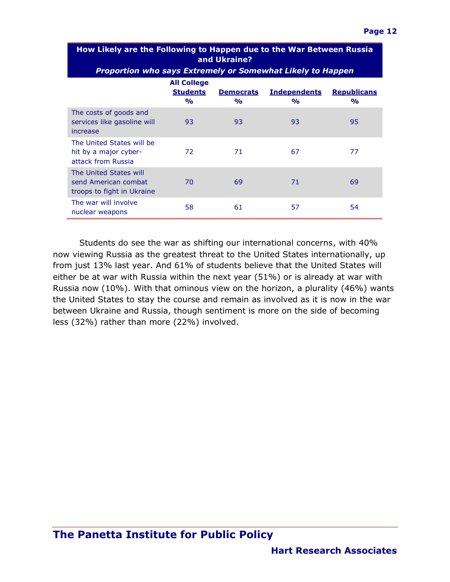| How Likely are the Following to Happen due to the War Between Russia<br>and Ukraine? |                                                             |                                   |                                      |                                     |  |
|--------------------------------------------------------------------------------------|-------------------------------------------------------------|-----------------------------------|--------------------------------------|-------------------------------------|--|
| <b>Proportion who says Extremely or Somewhat Likely to Happen</b>                    |                                                             |                                   |                                      |                                     |  |
|                                                                                      | <b>All College</b><br><b>Students</b><br>$\frac{1}{\alpha}$ | <b>Democrats</b><br>$\frac{1}{2}$ | <b>Independents</b><br>$\frac{1}{2}$ | <b>Republicans</b><br>$\frac{1}{2}$ |  |
| The costs of goods and<br>services like gasoline will<br>increase                    | 93                                                          | 93                                | 93                                   | 95                                  |  |
| The United States will be<br>hit by a major cyber-<br>attack from Russia             | 72                                                          | 71                                | 67                                   | 77                                  |  |
| The United States will<br>send American combat<br>troops to fight in Ukraine         | 70                                                          | 69                                | 71                                   | 69                                  |  |
| The war will involve<br>nuclear weapons                                              | 58                                                          | 61                                | 57                                   | 54                                  |  |

Students do see the war as shifting our international concerns, with 40% now viewing Russia as the greatest threat to the United States internationally, up from just 13% last year. And 61% of students believe that the United States will either be at war with Russia within the next year (51%) or is already at war with Russia now (10%). With that ominous view on the horizon, a plurality (46%) wants the United States to stay the course and remain as involved as it is now in the war between Ukraine and Russia, though sentiment is more on the side of becoming less (32%) rather than more (22%) involved.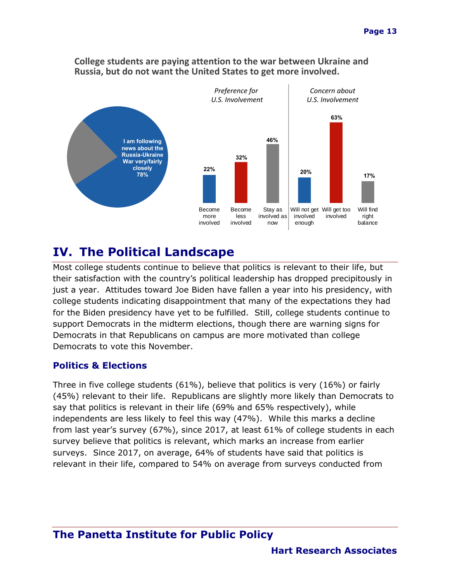

#### **College students are paying attention to the war between Ukraine and Russia, but do not want the United States to get more involved.**

# **IV. The Political Landscape**

Most college students continue to believe that politics is relevant to their life, but their satisfaction with the country's political leadership has dropped precipitously in just a year. Attitudes toward Joe Biden have fallen a year into his presidency, with college students indicating disappointment that many of the expectations they had for the Biden presidency have yet to be fulfilled. Still, college students continue to support Democrats in the midterm elections, though there are warning signs for Democrats in that Republicans on campus are more motivated than college Democrats to vote this November.

## **Politics & Elections**

Three in five college students (61%), believe that politics is very (16%) or fairly (45%) relevant to their life. Republicans are slightly more likely than Democrats to say that politics is relevant in their life (69% and 65% respectively), while independents are less likely to feel this way (47%). While this marks a decline from last year's survey (67%), since 2017, at least 61% of college students in each survey believe that politics is relevant, which marks an increase from earlier surveys. Since 2017, on average, 64% of students have said that politics is relevant in their life, compared to 54% on average from surveys conducted from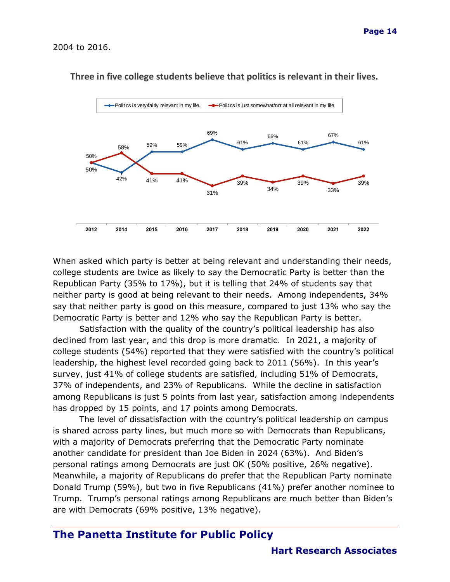

#### **Three in five college students believe that politics is relevant in their lives.**

When asked which party is better at being relevant and understanding their needs, college students are twice as likely to say the Democratic Party is better than the Republican Party (35% to 17%), but it is telling that 24% of students say that neither party is good at being relevant to their needs. Among independents, 34% say that neither party is good on this measure, compared to just 13% who say the Democratic Party is better and 12% who say the Republican Party is better.

Satisfaction with the quality of the country's political leadership has also declined from last year, and this drop is more dramatic. In 2021, a majority of college students (54%) reported that they were satisfied with the country's political leadership, the highest level recorded going back to 2011 (56%). In this year's survey, just 41% of college students are satisfied, including 51% of Democrats, 37% of independents, and 23% of Republicans. While the decline in satisfaction among Republicans is just 5 points from last year, satisfaction among independents has dropped by 15 points, and 17 points among Democrats.

The level of dissatisfaction with the country's political leadership on campus is shared across party lines, but much more so with Democrats than Republicans, with a majority of Democrats preferring that the Democratic Party nominate another candidate for president than Joe Biden in 2024 (63%). And Biden's personal ratings among Democrats are just OK (50% positive, 26% negative). Meanwhile, a majority of Republicans do prefer that the Republican Party nominate Donald Trump (59%), but two in five Republicans (41%) prefer another nominee to Trump. Trump's personal ratings among Republicans are much better than Biden's are with Democrats (69% positive, 13% negative).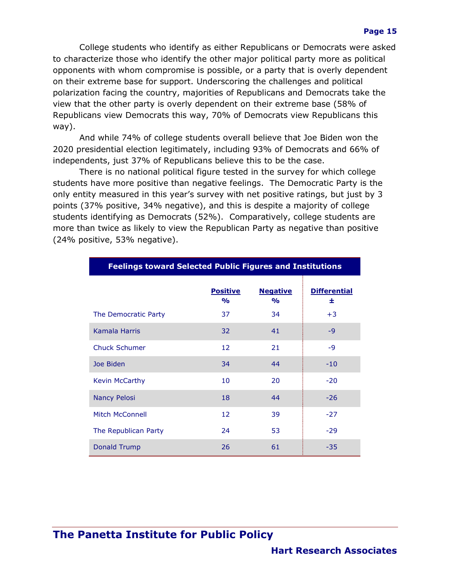College students who identify as either Republicans or Democrats were asked to characterize those who identify the other major political party more as political opponents with whom compromise is possible, or a party that is overly dependent on their extreme base for support. Underscoring the challenges and political polarization facing the country, majorities of Republicans and Democrats take the view that the other party is overly dependent on their extreme base (58% of Republicans view Democrats this way, 70% of Democrats view Republicans this way).

And while 74% of college students overall believe that Joe Biden won the 2020 presidential election legitimately, including 93% of Democrats and 66% of independents, just 37% of Republicans believe this to be the case.

There is no national political figure tested in the survey for which college students have more positive than negative feelings. The Democratic Party is the only entity measured in this year's survey with net positive ratings, but just by 3 points (37% positive, 34% negative), and this is despite a majority of college students identifying as Democrats (52%). Comparatively, college students are more than twice as likely to view the Republican Party as negative than positive (24% positive, 53% negative).

| <b>Feelings toward Selected Public Figures and Institutions</b> |                                  |                                  |                          |  |
|-----------------------------------------------------------------|----------------------------------|----------------------------------|--------------------------|--|
|                                                                 | <b>Positive</b><br>$\frac{1}{2}$ | <b>Negative</b><br>$\frac{1}{2}$ | <b>Differential</b><br>士 |  |
| The Democratic Party                                            | 37                               | 34                               | $+3$                     |  |
| Kamala Harris                                                   | 32                               | 41                               | $-9$                     |  |
| <b>Chuck Schumer</b>                                            | 12                               | 21                               | $-9$                     |  |
| Joe Biden                                                       | 34                               | 44                               | $-10$                    |  |
| Kevin McCarthy                                                  | 10                               | 20                               | $-20$                    |  |
| <b>Nancy Pelosi</b>                                             | 18                               | 44                               | $-26$                    |  |
| Mitch McConnell                                                 | 12                               | 39                               | $-27$                    |  |
| The Republican Party                                            | 24                               | 53                               | $-29$                    |  |
| Donald Trump                                                    | 26                               | 61                               | $-35$                    |  |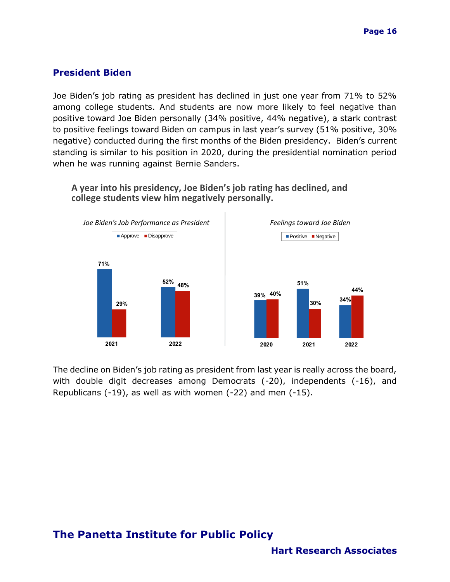#### **President Biden**

Joe Biden's job rating as president has declined in just one year from 71% to 52% among college students. And students are now more likely to feel negative than positive toward Joe Biden personally (34% positive, 44% negative), a stark contrast to positive feelings toward Biden on campus in last year's survey (51% positive, 30% negative) conducted during the first months of the Biden presidency. Biden's current standing is similar to his position in 2020, during the presidential nomination period when he was running against Bernie Sanders.

**A year into his presidency, Joe Biden's job rating has declined, and college students view him negatively personally.**



The decline on Biden's job rating as president from last year is really across the board, with double digit decreases among Democrats (-20), independents (-16), and Republicans (-19), as well as with women (-22) and men (-15).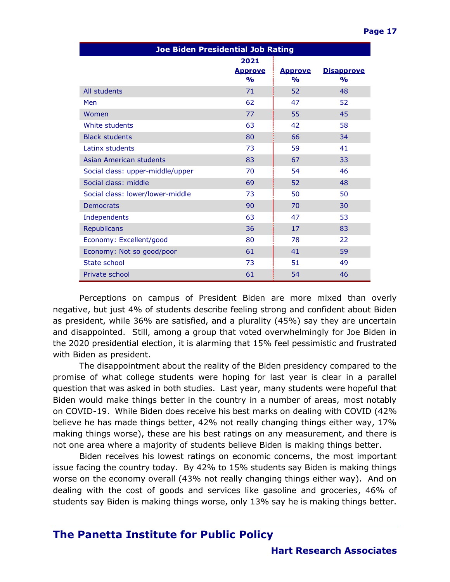| <b>Joe Biden Presidential Job Rating</b> |                                         |                                 |                                    |  |
|------------------------------------------|-----------------------------------------|---------------------------------|------------------------------------|--|
|                                          | 2021<br><u>Approve</u><br>$\frac{0}{0}$ | <u>Approve</u><br>$\frac{1}{2}$ | <b>Disapprove</b><br>$\frac{1}{2}$ |  |
| All students                             | 71                                      | 52                              | 48                                 |  |
| Men                                      | 62                                      | 47                              | 52                                 |  |
| Women                                    | 77                                      | 55                              | 45                                 |  |
| White students                           | 63                                      | 42                              | 58                                 |  |
| <b>Black students</b>                    | 80                                      | 66                              | 34                                 |  |
| Latinx students                          | 73                                      | 59                              | 41                                 |  |
| Asian American students                  | 83                                      | 67                              | 33                                 |  |
| Social class: upper-middle/upper         | 70                                      | 54                              | 46                                 |  |
| Social class: middle                     | 69                                      | 52                              | 48                                 |  |
| Social class: lower/lower-middle         | 73                                      | 50                              | 50                                 |  |
| <b>Democrats</b>                         | 90                                      | 70                              | 30                                 |  |
| Independents                             | 63                                      | 47                              | 53                                 |  |
| <b>Republicans</b>                       | 36                                      | 17                              | 83                                 |  |
| Economy: Excellent/good                  | 80                                      | 78                              | 22                                 |  |
| Economy: Not so good/poor                | 61                                      | 41                              | 59                                 |  |
| State school                             | 73                                      | 51                              | 49                                 |  |
| Private school                           | 61                                      | 54                              | 46                                 |  |

Perceptions on campus of President Biden are more mixed than overly negative, but just 4% of students describe feeling strong and confident about Biden as president, while 36% are satisfied, and a plurality (45%) say they are uncertain and disappointed. Still, among a group that voted overwhelmingly for Joe Biden in the 2020 presidential election, it is alarming that 15% feel pessimistic and frustrated with Biden as president.

The disappointment about the reality of the Biden presidency compared to the promise of what college students were hoping for last year is clear in a parallel question that was asked in both studies. Last year, many students were hopeful that Biden would make things better in the country in a number of areas, most notably on COVID-19. While Biden does receive his best marks on dealing with COVID (42% believe he has made things better, 42% not really changing things either way, 17% making things worse), these are his best ratings on any measurement, and there is not one area where a majority of students believe Biden is making things better.

Biden receives his lowest ratings on economic concerns, the most important issue facing the country today. By 42% to 15% students say Biden is making things worse on the economy overall (43% not really changing things either way). And on dealing with the cost of goods and services like gasoline and groceries, 46% of students say Biden is making things worse, only 13% say he is making things better.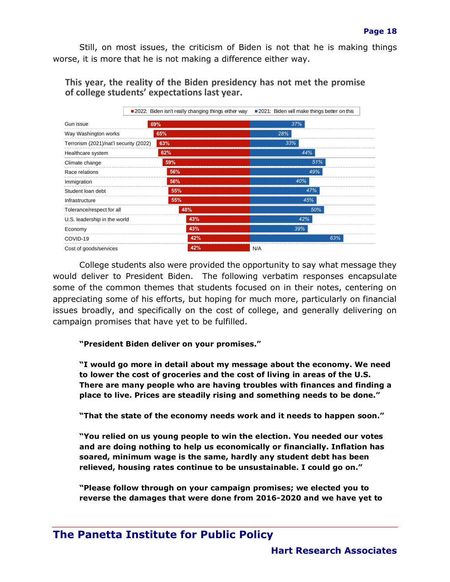Still, on most issues, the criticism of Biden is not that he is making things worse, it is more that he is not making a difference either way.

**This year, the reality of the Biden presidency has not met the promise of college students' expectations last year.**



College students also were provided the opportunity to say what message they would deliver to President Biden. The following verbatim responses encapsulate some of the common themes that students focused on in their notes, centering on appreciating some of his efforts, but hoping for much more, particularly on financial issues broadly, and specifically on the cost of college, and generally delivering on campaign promises that have yet to be fulfilled.

**"President Biden deliver on your promises."**

**"I would go more in detail about my message about the economy. We need to lower the cost of groceries and the cost of living in areas of the U.S. There are many people who are having troubles with finances and finding a place to live. Prices are steadily rising and something needs to be done."**

**"That the state of the economy needs work and it needs to happen soon."**

**"You relied on us young people to win the election. You needed our votes and are doing nothing to help us economically or financially. Inflation has soared, minimum wage is the same, hardly any student debt has been relieved, housing rates continue to be unsustainable. I could go on."**

**"Please follow through on your campaign promises; we elected you to reverse the damages that were done from 2016-2020 and we have yet to**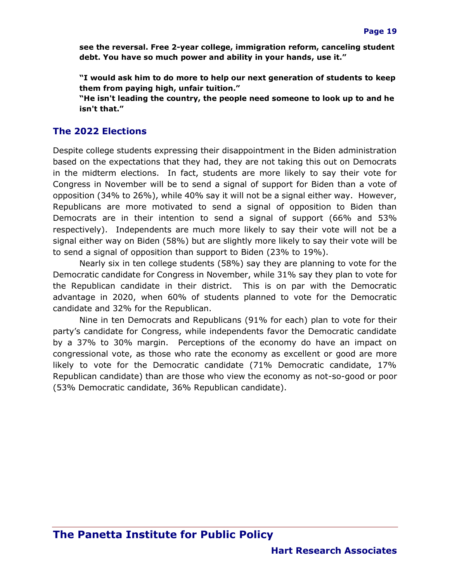**see the reversal. Free 2-year college, immigration reform, canceling student debt. You have so much power and ability in your hands, use it."**

**"I would ask him to do more to help our next generation of students to keep them from paying high, unfair tuition."**

**"He isn't leading the country, the people need someone to look up to and he isn't that."**

#### **The 2022 Elections**

Despite college students expressing their disappointment in the Biden administration based on the expectations that they had, they are not taking this out on Democrats in the midterm elections. In fact, students are more likely to say their vote for Congress in November will be to send a signal of support for Biden than a vote of opposition (34% to 26%), while 40% say it will not be a signal either way. However, Republicans are more motivated to send a signal of opposition to Biden than Democrats are in their intention to send a signal of support (66% and 53% respectively). Independents are much more likely to say their vote will not be a signal either way on Biden (58%) but are slightly more likely to say their vote will be to send a signal of opposition than support to Biden (23% to 19%).

Nearly six in ten college students (58%) say they are planning to vote for the Democratic candidate for Congress in November, while 31% say they plan to vote for the Republican candidate in their district. This is on par with the Democratic advantage in 2020, when 60% of students planned to vote for the Democratic candidate and 32% for the Republican.

Nine in ten Democrats and Republicans (91% for each) plan to vote for their party's candidate for Congress, while independents favor the Democratic candidate by a 37% to 30% margin. Perceptions of the economy do have an impact on congressional vote, as those who rate the economy as excellent or good are more likely to vote for the Democratic candidate (71% Democratic candidate, 17% Republican candidate) than are those who view the economy as not-so-good or poor (53% Democratic candidate, 36% Republican candidate).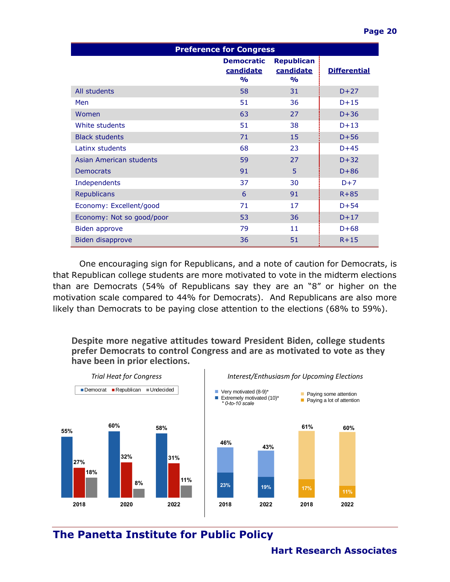| <b>Preference for Congress</b> |                                                 |                                                 |                     |  |
|--------------------------------|-------------------------------------------------|-------------------------------------------------|---------------------|--|
|                                | <b>Democratic</b><br>candidate<br>$\frac{1}{2}$ | <b>Republican</b><br>candidate<br>$\frac{1}{2}$ | <b>Differential</b> |  |
| All students                   | 58                                              | 31                                              | $D+27$              |  |
| Men                            | 51                                              | 36                                              | $D+15$              |  |
| Women                          | 63                                              | 27                                              | $D+36$              |  |
| White students                 | 51                                              | 38                                              | $D+13$              |  |
| <b>Black students</b>          | 71                                              | 15                                              | $D+56$              |  |
| Latinx students                | 68                                              | 23                                              | $D+45$              |  |
| Asian American students        | 59                                              | 27                                              | $D+32$              |  |
| <b>Democrats</b>               | 91                                              | 5                                               | $D+86$              |  |
| Independents                   | 37                                              | 30                                              | $D+7$               |  |
| <b>Republicans</b>             | 6                                               | 91                                              | $R + 85$            |  |
| Economy: Excellent/good        | 71                                              | 17                                              | $D+54$              |  |
| Economy: Not so good/poor      | 53                                              | 36                                              | $D+17$              |  |
| Biden approve                  | 79                                              | 11                                              | $D+68$              |  |
| Biden disapprove               | 36                                              | 51                                              | $R+15$              |  |

One encouraging sign for Republicans, and a note of caution for Democrats, is that Republican college students are more motivated to vote in the midterm elections than are Democrats (54% of Republicans say they are an "8" or higher on the motivation scale compared to 44% for Democrats). And Republicans are also more likely than Democrats to be paying close attention to the elections (68% to 59%).

#### **Despite more negative attitudes toward President Biden, college students prefer Democrats to control Congress and are as motivated to vote as they have been in prior elections.**

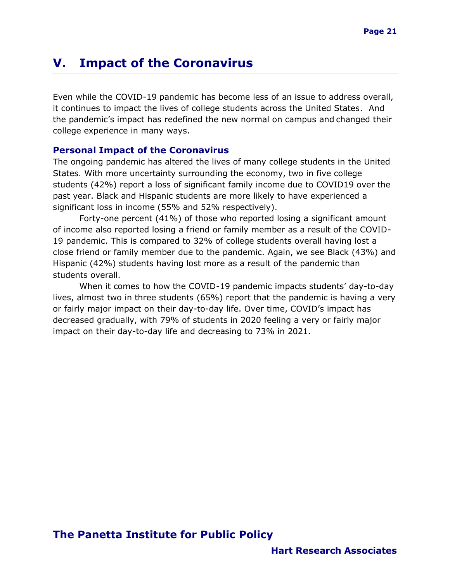# <span id="page-21-0"></span>**V. Impact of the Coronavirus**

Even while the COVID-19 pandemic has become less of an issue to address overall, it continues to impact the lives of college students across the United States. And the pandemic's impact has redefined the new normal on campus and changed their college experience in many ways.

#### <span id="page-21-1"></span>**Personal Impact of the Coronavirus**

The ongoing pandemic has altered the lives of many college students in the United States. With more uncertainty surrounding the economy, two in five college students (42%) report a loss of significant family income due to COVID19 over the past year. Black and Hispanic students are more likely to have experienced a significant loss in income (55% and 52% respectively).

Forty-one percent (41%) of those who reported losing a significant amount of income also reported losing a friend or family member as a result of the COVID-19 pandemic. This is compared to 32% of college students overall having lost a close friend or family member due to the pandemic. Again, we see Black (43%) and Hispanic (42%) students having lost more as a result of the pandemic than students overall.

When it comes to how the COVID-19 pandemic impacts students' day-to-day lives, almost two in three students (65%) report that the pandemic is having a very or fairly major impact on their day-to-day life. Over time, COVID's impact has decreased gradually, with 79% of students in 2020 feeling a very or fairly major impact on their day-to-day life and decreasing to 73% in 2021.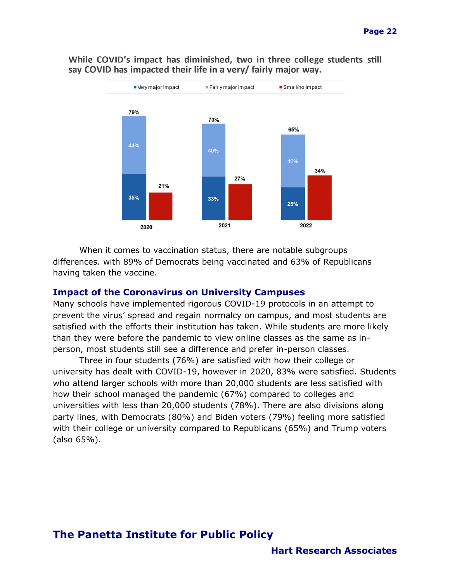

While COVID's impact has diminished, two in three college students still say COVID has impacted their life in a very/ fairly major way.

When it comes to vaccination status, there are notable subgroups differences. with 89% of Democrats being vaccinated and 63% of Republicans having taken the vaccine.

#### **Impact of the Coronavirus on University Campuses**

Many schools have implemented rigorous COVID-19 protocols in an attempt to prevent the virus' spread and regain normalcy on campus, and most students are satisfied with the efforts their institution has taken. While students are more likely than they were before the pandemic to view online classes as the same as inperson, most students still see a difference and prefer in-person classes.

Three in four students (76%) are satisfied with how their college or university has dealt with COVID-19, however in 2020, 83% were satisfied. Students who attend larger schools with more than 20,000 students are less satisfied with how their school managed the pandemic (67%) compared to colleges and universities with less than 20,000 students (78%). There are also divisions along party lines, with Democrats (80%) and Biden voters (79%) feeling more satisfied with their college or university compared to Republicans (65%) and Trump voters (also 65%).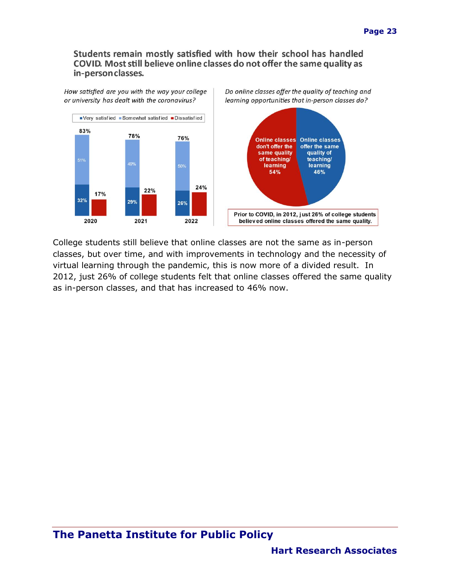#### Students remain mostly satisfied with how their school has handled COVID. Most still believe online classes do not offer the same quality as in-person classes.



College students still believe that online classes are not the same as in-person classes, but over time, and with improvements in technology and the necessity of virtual learning through the pandemic, this is now more of a divided result. In 2012, just 26% of college students felt that online classes offered the same quality as in-person classes, and that has increased to 46% now.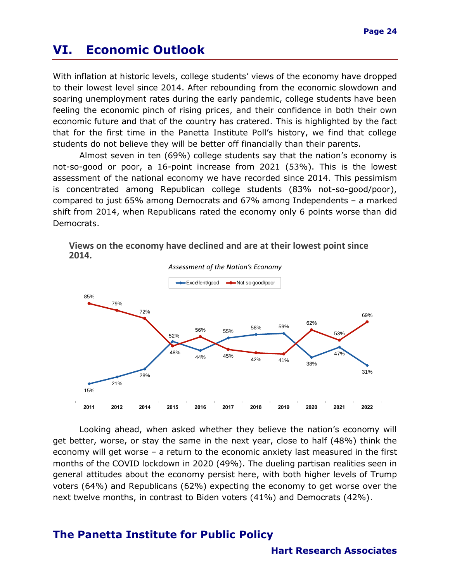# **VI. Economic Outlook**

With inflation at historic levels, college students' views of the economy have dropped to their lowest level since 2014. After rebounding from the economic slowdown and soaring unemployment rates during the early pandemic, college students have been feeling the economic pinch of rising prices, and their confidence in both their own economic future and that of the country has cratered. This is highlighted by the fact that for the first time in the Panetta Institute Poll's history, we find that college students do not believe they will be better off financially than their parents.

Almost seven in ten (69%) college students say that the nation's economy is not-so-good or poor, a 16-point increase from 2021 (53%). This is the lowest assessment of the national economy we have recorded since 2014. This pessimism is concentrated among Republican college students (83% not-so-good/poor), compared to just 65% among Democrats and 67% among Independents – a marked shift from 2014, when Republicans rated the economy only 6 points worse than did Democrats.





Looking ahead, when asked whether they believe the nation's economy will get better, worse, or stay the same in the next year, close to half (48%) think the economy will get worse – a return to the economic anxiety last measured in the first months of the COVID lockdown in 2020 (49%). The dueling partisan realities seen in general attitudes about the economy persist here, with both higher levels of Trump voters (64%) and Republicans (62%) expecting the economy to get worse over the next twelve months, in contrast to Biden voters (41%) and Democrats (42%).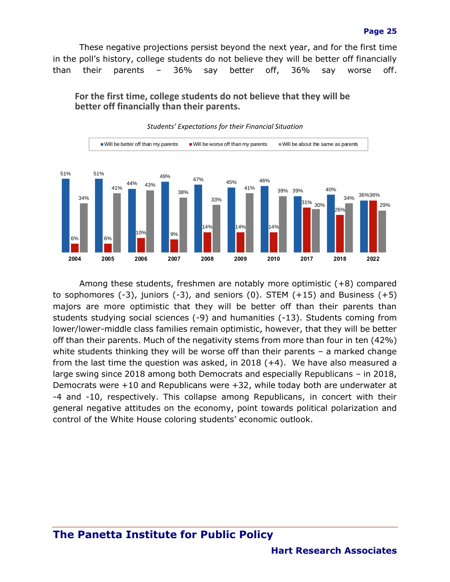These negative projections persist beyond the next year, and for the first time in the poll's history, college students do not believe they will be better off financially than their parents – 36% say better off, 36% say worse off.

**For the first time, college students do not believe that they will be better off financially than their parents.**



*Students' Expectations for their Financial Situation*

Among these students, freshmen are notably more optimistic (+8) compared to sophomores  $(-3)$ , juniors  $(-3)$ , and seniors  $(0)$ . STEM  $(+15)$  and Business  $(+5)$ majors are more optimistic that they will be better off than their parents than students studying social sciences (-9) and humanities (-13). Students coming from lower/lower-middle class families remain optimistic, however, that they will be better off than their parents. Much of the negativity stems from more than four in ten (42%) white students thinking they will be worse off than their parents - a marked change from the last time the question was asked, in 2018 (+4). We have also measured a large swing since 2018 among both Democrats and especially Republicans – in 2018, Democrats were +10 and Republicans were +32, while today both are underwater at -4 and -10, respectively. This collapse among Republicans, in concert with their general negative attitudes on the economy, point towards political polarization and control of the White House coloring students' economic outlook.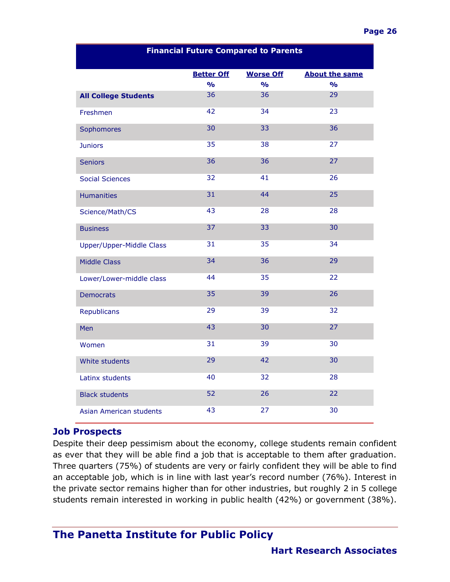| <b>Financial Future Compared to Parents</b> |                   |                  |                       |  |
|---------------------------------------------|-------------------|------------------|-----------------------|--|
|                                             | <b>Better Off</b> | <b>Worse Off</b> | <b>About the same</b> |  |
|                                             | $\frac{9}{6}$     | $\frac{1}{2}$    | $\frac{1}{2}$         |  |
| <b>All College Students</b>                 | 36                | 36               | 29                    |  |
| Freshmen                                    | 42                | 34               | 23                    |  |
| Sophomores                                  | 30                | 33               | 36                    |  |
| <b>Juniors</b>                              | 35                | 38               | 27                    |  |
| <b>Seniors</b>                              | 36                | 36               | 27                    |  |
| <b>Social Sciences</b>                      | 32                | 41               | 26                    |  |
| <b>Humanities</b>                           | 31                | 44               | 25                    |  |
| Science/Math/CS                             | 43                | 28               | 28                    |  |
| <b>Business</b>                             | 37                | 33               | 30                    |  |
| Upper/Upper-Middle Class                    | 31                | 35               | 34                    |  |
| <b>Middle Class</b>                         | 34                | 36               | 29                    |  |
| Lower/Lower-middle class                    | 44                | 35               | 22                    |  |
| <b>Democrats</b>                            | 35                | 39               | 26                    |  |
| <b>Republicans</b>                          | 29                | 39               | 32                    |  |
| Men                                         | 43                | 30               | 27                    |  |
| Women                                       | 31                | 39               | 30                    |  |
| White students                              | 29                | 42               | 30                    |  |
| Latinx students                             | 40                | 32               | 28                    |  |
| <b>Black students</b>                       | 52                | 26               | 22                    |  |
| <b>Asian American students</b>              | 43                | 27               | 30                    |  |

#### **Financial Future Compared to Parents**

#### **Job Prospects**

Despite their deep pessimism about the economy, college students remain confident as ever that they will be able find a job that is acceptable to them after graduation. Three quarters (75%) of students are very or fairly confident they will be able to find an acceptable job, which is in line with last year's record number (76%). Interest in the private sector remains higher than for other industries, but roughly 2 in 5 college students remain interested in working in public health (42%) or government (38%).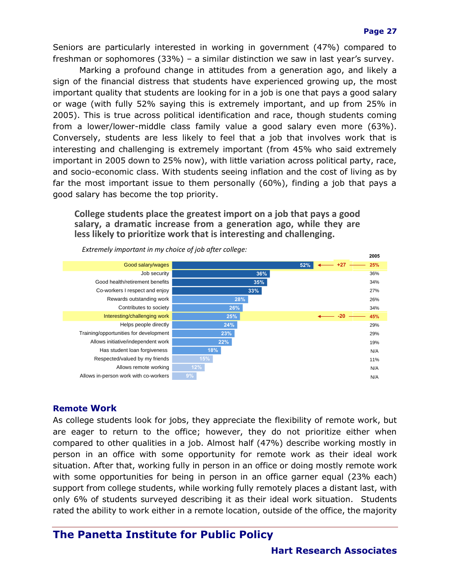Seniors are particularly interested in working in government (47%) compared to freshman or sophomores (33%) – a similar distinction we saw in last year's survey.

Marking a profound change in attitudes from a generation ago, and likely a sign of the financial distress that students have experienced growing up, the most important quality that students are looking for in a job is one that pays a good salary or wage (with fully 52% saying this is extremely important, and up from 25% in 2005). This is true across political identification and race, though students coming from a lower/lower-middle class family value a good salary even more (63%). Conversely, students are less likely to feel that a job that involves work that is interesting and challenging is extremely important (from 45% who said extremely important in 2005 down to 25% now), with little variation across political party, race, and socio-economic class. With students seeing inflation and the cost of living as by far the most important issue to them personally (60%), finding a job that pays a good salary has become the top priority.

#### **College students place the greatest import on a job that pays a good salary, a dramatic increase from a generation ago, while they are less likely to prioritize work that is interesting and challenging.**



*Extremely important in my choice of job after college:*

#### **Remote Work**

As college students look for jobs, they appreciate the flexibility of remote work, but are eager to return to the office; however, they do not prioritize either when compared to other qualities in a job. Almost half (47%) describe working mostly in person in an office with some opportunity for remote work as their ideal work situation. After that, working fully in person in an office or doing mostly remote work with some opportunities for being in person in an office garner equal (23% each) support from college students, while working fully remotely places a distant last, with only 6% of students surveyed describing it as their ideal work situation. Students rated the ability to work either in a remote location, outside of the office, the majority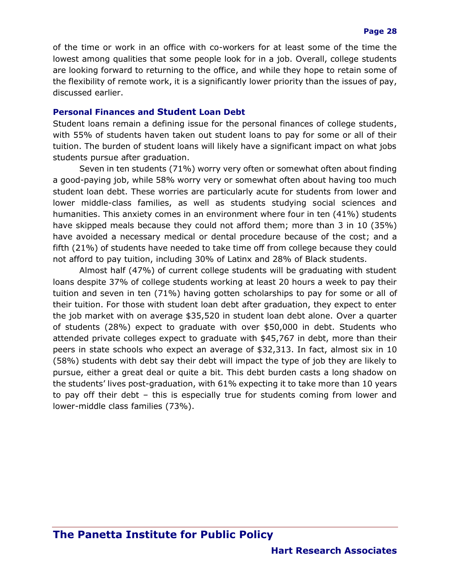of the time or work in an office with co-workers for at least some of the time the lowest among qualities that some people look for in a job. Overall, college students are looking forward to returning to the office, and while they hope to retain some of the flexibility of remote work, it is a significantly lower priority than the issues of pay, discussed earlier.

#### **Personal Finances and Student Loan Debt**

Student loans remain a defining issue for the personal finances of college students, with 55% of students haven taken out student loans to pay for some or all of their tuition. The burden of student loans will likely have a significant impact on what jobs students pursue after graduation.

Seven in ten students (71%) worry very often or somewhat often about finding a good-paying job, while 58% worry very or somewhat often about having too much student loan debt. These worries are particularly acute for students from lower and lower middle-class families, as well as students studying social sciences and humanities. This anxiety comes in an environment where four in ten (41%) students have skipped meals because they could not afford them; more than 3 in 10 (35%) have avoided a necessary medical or dental procedure because of the cost; and a fifth (21%) of students have needed to take time off from college because they could not afford to pay tuition, including 30% of Latinx and 28% of Black students.

Almost half (47%) of current college students will be graduating with student loans despite 37% of college students working at least 20 hours a week to pay their tuition and seven in ten (71%) having gotten scholarships to pay for some or all of their tuition. For those with student loan debt after graduation, they expect to enter the job market with on average \$35,520 in student loan debt alone. Over a quarter of students (28%) expect to graduate with over \$50,000 in debt. Students who attended private colleges expect to graduate with \$45,767 in debt, more than their peers in state schools who expect an average of \$32,313. In fact, almost six in 10 (58%) students with debt say their debt will impact the type of job they are likely to pursue, either a great deal or quite a bit. This debt burden casts a long shadow on the students' lives post-graduation, with 61% expecting it to take more than 10 years to pay off their debt – this is especially true for students coming from lower and lower-middle class families (73%).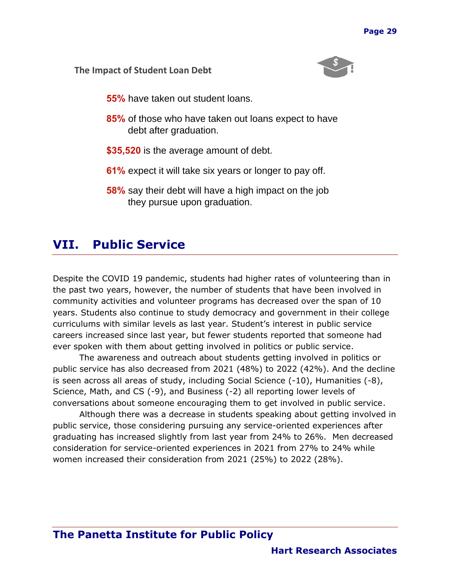#### **The Impact of Student Loan Debt**



- **55%** have taken out student loans.
- **85%** of those who have taken out loans expect to have debt after graduation.
- **\$35,520** is the average amount of debt.
- **61%** expect it will take six years or longer to pay off.
- **58%** say their debt will have a high impact on the job they pursue upon graduation.

# <span id="page-29-0"></span>**VII. Public Service**

Despite the COVID 19 pandemic, students had higher rates of volunteering than in the past two years, however, the number of students that have been involved in community activities and volunteer programs has decreased over the span of 10 years. Students also continue to study democracy and government in their college curriculums with similar levels as last year. Student's interest in public service careers increased since last year, but fewer students reported that someone had ever spoken with them about getting involved in politics or public service.

The awareness and outreach about students getting involved in politics or public service has also decreased from 2021 (48%) to 2022 (42%). And the decline is seen across all areas of study, including Social Science (-10), Humanities (-8), Science, Math, and CS (-9), and Business (-2) all reporting lower levels of conversations about someone encouraging them to get involved in public service.

Although there was a decrease in students speaking about getting involved in public service, those considering pursuing any service-oriented experiences after graduating has increased slightly from last year from 24% to 26%. Men decreased consideration for service-oriented experiences in 2021 from 27% to 24% while women increased their consideration from 2021 (25%) to 2022 (28%).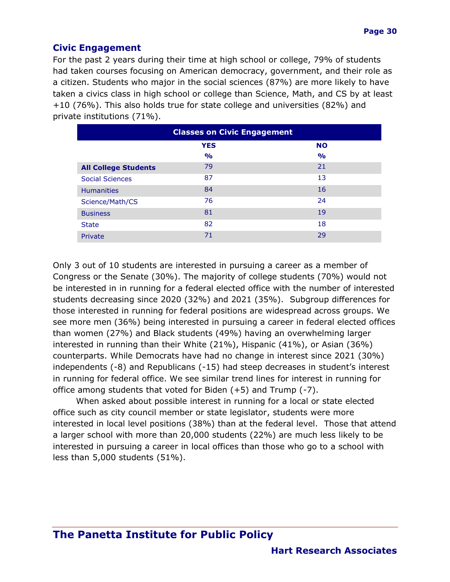#### **Civic Engagement**

For the past 2 years during their time at high school or college, 79% of students had taken courses focusing on American democracy, government, and their role as a citizen. Students who major in the social sciences (87%) are more likely to have taken a civics class in high school or college than Science, Math, and CS by at least +10 (76%). This also holds true for state college and universities (82%) and private institutions (71%).

| <b>Classes on Civic Engagement</b> |               |               |  |  |
|------------------------------------|---------------|---------------|--|--|
| <b>YES</b><br><b>NO</b>            |               |               |  |  |
|                                    | $\frac{1}{2}$ | $\frac{1}{2}$ |  |  |
| <b>All College Students</b>        | 79            | 21            |  |  |
| <b>Social Sciences</b>             | 87            | 13            |  |  |
| <b>Humanities</b>                  | 84            | 16            |  |  |
| Science/Math/CS                    | 76            | 24            |  |  |
| <b>Business</b>                    | 81            | 19            |  |  |
| <b>State</b>                       | 82            | 18            |  |  |
| Private                            | 71            | 29            |  |  |

Only 3 out of 10 students are interested in pursuing a career as a member of Congress or the Senate (30%). The majority of college students (70%) would not be interested in in running for a federal elected office with the number of interested students decreasing since 2020 (32%) and 2021 (35%). Subgroup differences for those interested in running for federal positions are widespread across groups. We see more men (36%) being interested in pursuing a career in federal elected offices than women (27%) and Black students (49%) having an overwhelming larger interested in running than their White (21%), Hispanic (41%), or Asian (36%) counterparts. While Democrats have had no change in interest since 2021 (30%) independents (-8) and Republicans (-15) had steep decreases in student's interest in running for federal office. We see similar trend lines for interest in running for office among students that voted for Biden (+5) and Trump (-7).

When asked about possible interest in running for a local or state elected office such as city council member or state legislator, students were more interested in local level positions (38%) than at the federal level. Those that attend a larger school with more than 20,000 students (22%) are much less likely to be interested in pursuing a career in local offices than those who go to a school with less than 5,000 students (51%).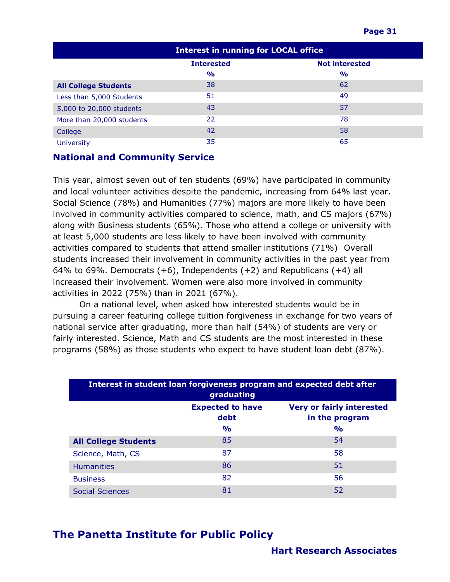| <b>Interest in running for LOCAL office</b> |                                            |               |  |
|---------------------------------------------|--------------------------------------------|---------------|--|
|                                             | <b>Not interested</b><br><b>Interested</b> |               |  |
|                                             | $\frac{1}{2}$                              | $\frac{6}{6}$ |  |
| <b>All College Students</b>                 | 38                                         | 62            |  |
| Less than 5,000 Students                    | 51                                         | 49            |  |
| 5,000 to 20,000 students                    | 43                                         | 57            |  |
| More than 20,000 students                   | 22                                         | 78            |  |
| College                                     | 42                                         | 58            |  |
| <b>University</b>                           | 35                                         | 65            |  |

#### **National and Community Service**

This year, almost seven out of ten students (69%) have participated in community and local volunteer activities despite the pandemic, increasing from 64% last year. Social Science (78%) and Humanities (77%) majors are more likely to have been involved in community activities compared to science, math, and CS majors (67%) along with Business students (65%). Those who attend a college or university with at least 5,000 students are less likely to have been involved with community activities compared to students that attend smaller institutions (71%) Overall students increased their involvement in community activities in the past year from 64% to 69%. Democrats  $(+6)$ , Independents  $(+2)$  and Republicans  $(+4)$  all increased their involvement. Women were also more involved in community activities in 2022 (75%) than in 2021 (67%).

On a national level, when asked how interested students would be in pursuing a career featuring college tuition forgiveness in exchange for two years of national service after graduating, more than half (54%) of students are very or fairly interested. Science, Math and CS students are the most interested in these programs (58%) as those students who expect to have student loan debt (87%).

| Interest in student loan forgiveness program and expected debt after<br>graduating    |    |    |  |  |  |
|---------------------------------------------------------------------------------------|----|----|--|--|--|
| <b>Expected to have</b><br><b>Very or fairly interested</b><br>debt<br>in the program |    |    |  |  |  |
| $\frac{1}{2}$<br>$\frac{1}{2}$                                                        |    |    |  |  |  |
| <b>All College Students</b>                                                           | 85 | 54 |  |  |  |
| Science, Math, CS                                                                     | 87 | 58 |  |  |  |
| <b>Humanities</b>                                                                     | 86 | 51 |  |  |  |
| <b>Business</b>                                                                       | 82 | 56 |  |  |  |
| <b>Social Sciences</b>                                                                | 81 | 52 |  |  |  |